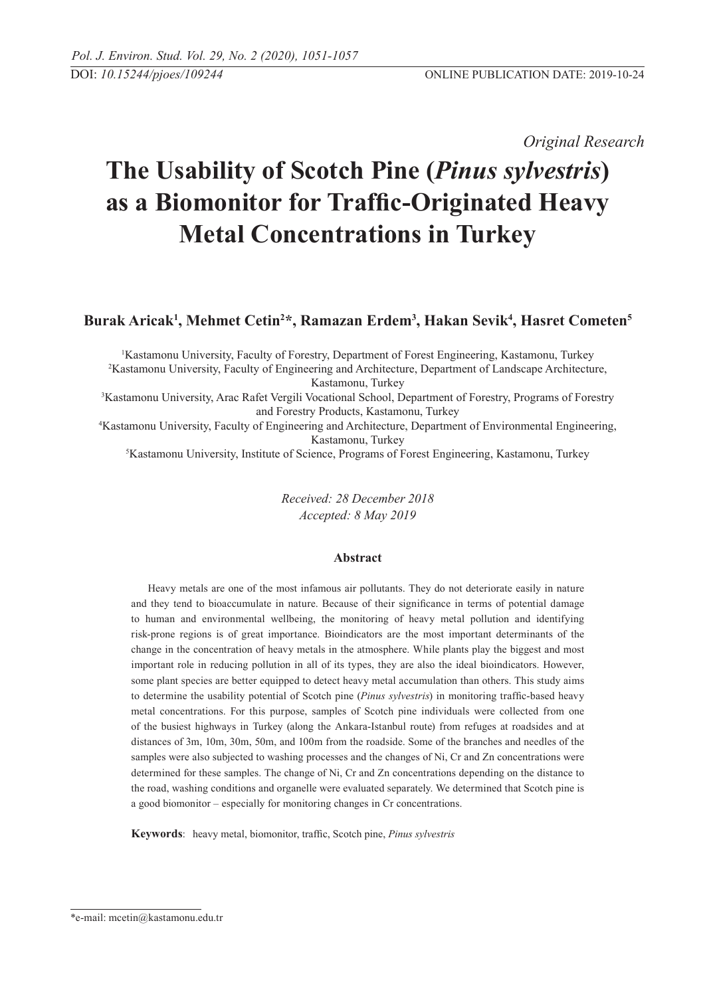*Original Research* 

# **The Usability of Scotch Pine (***Pinus sylvestris***) as a Biomonitor for Traffic-Originated Heavy Metal Concentrations in Turkey**

**Burak Aricak1 , Mehmet Cetin2 \*, Ramazan Erdem<sup>3</sup> , Hakan Sevik<sup>4</sup> , Hasret Cometen<sup>5</sup>** 

1 Kastamonu University, Faculty of Forestry, Department of Forest Engineering, Kastamonu, Turkey 2 Kastamonu University, Faculty of Engineering and Architecture, Department of Landscape Architecture, Kastamonu, Turkey 3 Kastamonu University, Arac Rafet Vergili Vocational School, Department of Forestry, Programs of Forestry and Forestry Products, Kastamonu, Turkey

4 Kastamonu University, Faculty of Engineering and Architecture, Department of Environmental Engineering, Kastamonu, Turkey

5 Kastamonu University, Institute of Science, Programs of Forest Engineering, Kastamonu, Turkey

*Received: 28 December 2018 Accepted: 8 May 2019*

### **Abstract**

Heavy metals are one of the most infamous air pollutants. They do not deteriorate easily in nature and they tend to bioaccumulate in nature. Because of their significance in terms of potential damage to human and environmental wellbeing, the monitoring of heavy metal pollution and identifying risk-prone regions is of great importance. Bioindicators are the most important determinants of the change in the concentration of heavy metals in the atmosphere. While plants play the biggest and most important role in reducing pollution in all of its types, they are also the ideal bioindicators. However, some plant species are better equipped to detect heavy metal accumulation than others. This study aims to determine the usability potential of Scotch pine (*Pinus sylvestris*) in monitoring traffic-based heavy metal concentrations. For this purpose, samples of Scotch pine individuals were collected from one of the busiest highways in Turkey (along the Ankara-Istanbul route) from refuges at roadsides and at distances of 3m, 10m, 30m, 50m, and 100m from the roadside. Some of the branches and needles of the samples were also subjected to washing processes and the changes of Ni, Cr and Zn concentrations were determined for these samples. The change of Ni, Cr and Zn concentrations depending on the distance to the road, washing conditions and organelle were evaluated separately. We determined that Scotch pine is a good biomonitor – especially for monitoring changes in Cr concentrations.

**Keywords**: heavy metal, biomonitor, traffic, Scotch pine, *Pinus sylvestris*

<sup>\*</sup>e-mail: mcetin@kastamonu.edu.tr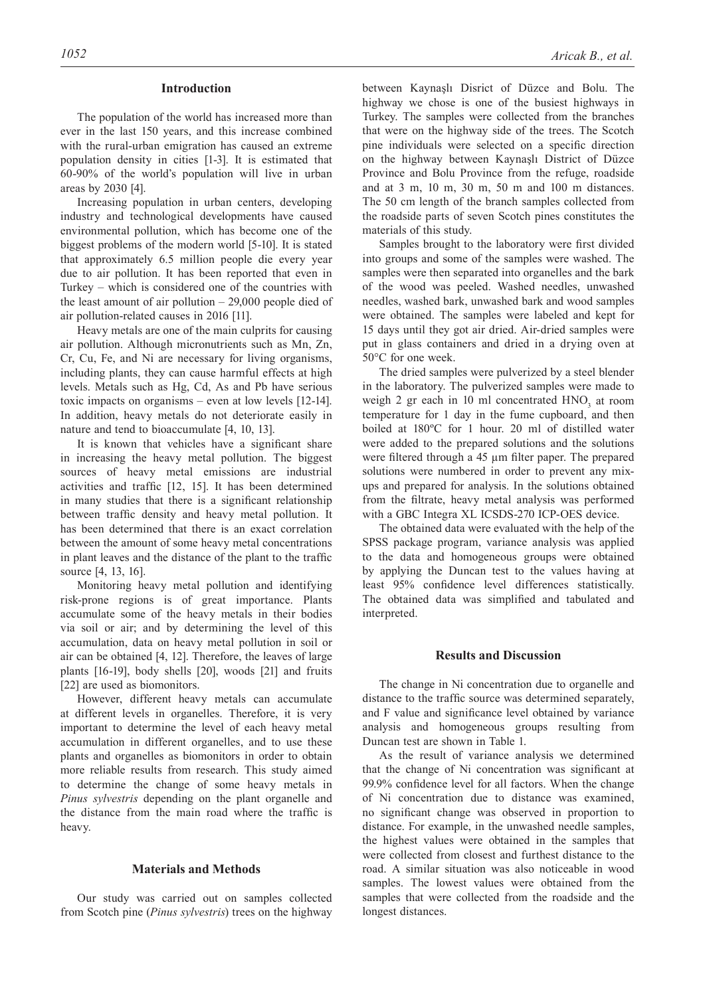## **Introduction**

The population of the world has increased more than ever in the last 150 years, and this increase combined with the rural-urban emigration has caused an extreme population density in cities [1-3]. It is estimated that 60-90% of the world's population will live in urban areas by 2030 [4].

Increasing population in urban centers, developing industry and technological developments have caused environmental pollution, which has become one of the biggest problems of the modern world [5-10]. It is stated that approximately 6.5 million people die every year due to air pollution. It has been reported that even in Turkey – which is considered one of the countries with the least amount of air pollution – 29,000 people died of air pollution-related causes in 2016 [11].

Heavy metals are one of the main culprits for causing air pollution. Although micronutrients such as Mn, Zn, Cr, Cu, Fe, and Ni are necessary for living organisms, including plants, they can cause harmful effects at high levels. Metals such as Hg, Cd, As and Pb have serious toxic impacts on organisms – even at low levels [12-14]. In addition, heavy metals do not deteriorate easily in nature and tend to bioaccumulate [4, 10, 13].

It is known that vehicles have a significant share in increasing the heavy metal pollution. The biggest sources of heavy metal emissions are industrial activities and traffic [12, 15]. It has been determined in many studies that there is a significant relationship between traffic density and heavy metal pollution. It has been determined that there is an exact correlation between the amount of some heavy metal concentrations in plant leaves and the distance of the plant to the traffic source [4, 13, 16].

Monitoring heavy metal pollution and identifying risk-prone regions is of great importance. Plants accumulate some of the heavy metals in their bodies via soil or air; and by determining the level of this accumulation, data on heavy metal pollution in soil or air can be obtained [4, 12]. Therefore, the leaves of large plants [16-19], body shells [20], woods [21] and fruits [22] are used as biomonitors.

However, different heavy metals can accumulate at different levels in organelles. Therefore, it is very important to determine the level of each heavy metal accumulation in different organelles, and to use these plants and organelles as biomonitors in order to obtain more reliable results from research. This study aimed to determine the change of some heavy metals in *Pinus sylvestris* depending on the plant organelle and the distance from the main road where the traffic is heavy.

#### **Materials and Methods**

Our study was carried out on samples collected from Scotch pine (*Pinus sylvestris*) trees on the highway between Kaynaşlı Disrict of Düzce and Bolu. The highway we chose is one of the busiest highways in Turkey. The samples were collected from the branches that were on the highway side of the trees. The Scotch pine individuals were selected on a specific direction on the highway between Kaynaşlı District of Düzce Province and Bolu Province from the refuge, roadside and at 3 m, 10 m, 30 m, 50 m and 100 m distances. The 50 cm length of the branch samples collected from the roadside parts of seven Scotch pines constitutes the materials of this study.

Samples brought to the laboratory were first divided into groups and some of the samples were washed. The samples were then separated into organelles and the bark of the wood was peeled. Washed needles, unwashed needles, washed bark, unwashed bark and wood samples were obtained. The samples were labeled and kept for 15 days until they got air dried. Air-dried samples were put in glass containers and dried in a drying oven at 50°C for one week.

The dried samples were pulverized by a steel blender in the laboratory. The pulverized samples were made to weigh 2 gr each in 10 ml concentrated  $HNO<sub>3</sub>$  at room temperature for 1 day in the fume cupboard, and then boiled at 180ºC for 1 hour. 20 ml of distilled water were added to the prepared solutions and the solutions were filtered through a 45 µm filter paper. The prepared solutions were numbered in order to prevent any mixups and prepared for analysis. In the solutions obtained from the filtrate, heavy metal analysis was performed with a GBC Integra XL ICSDS-270 ICP-OES device.

The obtained data were evaluated with the help of the SPSS package program, variance analysis was applied to the data and homogeneous groups were obtained by applying the Duncan test to the values having at least 95% confidence level differences statistically. The obtained data was simplified and tabulated and interpreted.

# **Results and Discussion**

The change in Ni concentration due to organelle and distance to the traffic source was determined separately, and F value and significance level obtained by variance analysis and homogeneous groups resulting from Duncan test are shown in Table 1.

As the result of variance analysis we determined that the change of Ni concentration was significant at 99.9% confidence level for all factors. When the change of Ni concentration due to distance was examined, no significant change was observed in proportion to distance. For example, in the unwashed needle samples, the highest values were obtained in the samples that were collected from closest and furthest distance to the road. A similar situation was also noticeable in wood samples. The lowest values were obtained from the samples that were collected from the roadside and the longest distances.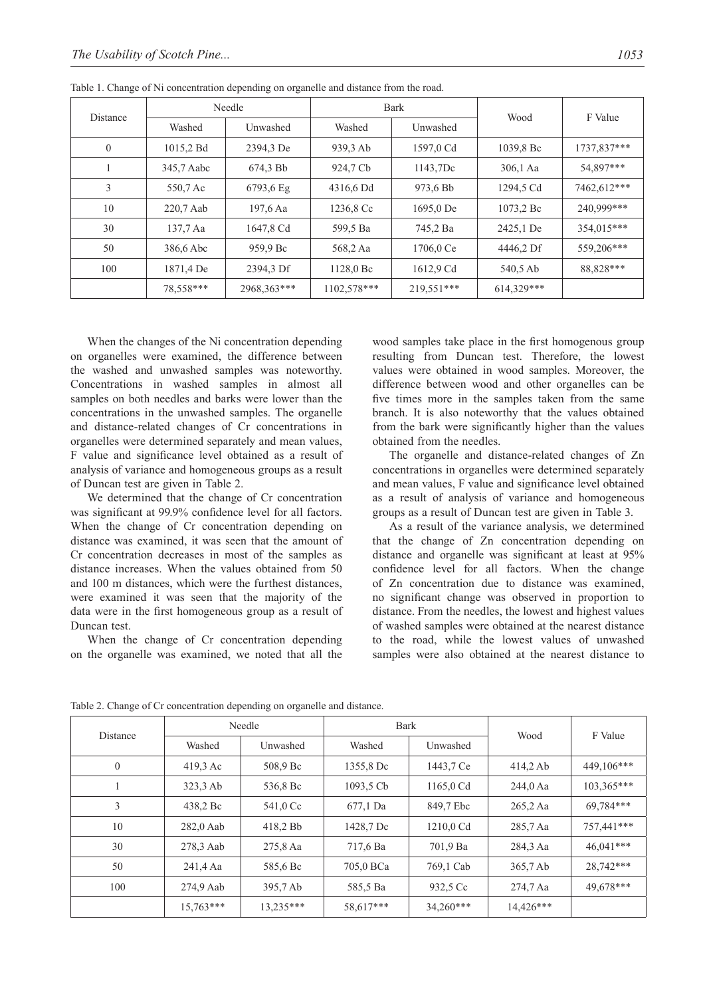| <b>Distance</b> | Needle     |                     | <b>Bark</b> |            |            |             |
|-----------------|------------|---------------------|-------------|------------|------------|-------------|
|                 | Washed     | Unwashed            | Washed      | Unwashed   | Wood       | F Value     |
| $\mathbf{0}$    | 1015,2 Bd  | 2394,3 De           | 939,3 Ab    | 1597,0 Cd  | 1039.8 Bc  | 1737.837*** |
|                 | 345,7 Aabc | 674.3 Bb            | 924,7 Cb    | 1143,7Dc   | $306.1$ Aa | 54,897***   |
| 3               | 550,7 Ac   | $6793,6 \text{ Eg}$ | 4316,6 Dd   | 973,6 Bb   | 1294,5 Cd  | 7462,612*** |
| 10              | 220,7 Aab  | 197,6 Aa            | 1236,8 Cc   | 1695,0 De  | 1073.2 Bc  | 240.999***  |
| 30              | 137.7 Aa   | 1647,8 Cd           | 599,5 Ba    | 745,2 Ba   | 2425,1 De  | 354,015***  |
| 50              | 386,6 Abc  | 959,9 Bc            | 568,2 Aa    | 1706,0 Ce  | 4446,2 Df  | 559.206***  |
| 100             | 1871,4 De  | 2394,3 Df           | 1128,0 Bc   | 1612,9 Cd  | 540,5 Ab   | 88.828***   |
|                 | 78.558***  | 2968.363***         | 1102.578*** | 219.551*** | 614.329*** |             |

Table 1. Change of Ni concentration depending on organelle and distance from the road.

When the changes of the Ni concentration depending on organelles were examined, the difference between the washed and unwashed samples was noteworthy. Concentrations in washed samples in almost all samples on both needles and barks were lower than the concentrations in the unwashed samples. The organelle and distance-related changes of Cr concentrations in organelles were determined separately and mean values, F value and significance level obtained as a result of analysis of variance and homogeneous groups as a result of Duncan test are given in Table 2.

We determined that the change of Cr concentration was significant at 99.9% confidence level for all factors. When the change of Cr concentration depending on distance was examined, it was seen that the amount of Cr concentration decreases in most of the samples as distance increases. When the values obtained from 50 and 100 m distances, which were the furthest distances, were examined it was seen that the majority of the data were in the first homogeneous group as a result of Duncan test.

When the change of Cr concentration depending on the organelle was examined, we noted that all the

wood samples take place in the first homogenous group resulting from Duncan test. Therefore, the lowest values were obtained in wood samples. Moreover, the difference between wood and other organelles can be five times more in the samples taken from the same branch. It is also noteworthy that the values obtained from the bark were significantly higher than the values obtained from the needles.

The organelle and distance-related changes of Zn concentrations in organelles were determined separately and mean values, F value and significance level obtained as a result of analysis of variance and homogeneous groups as a result of Duncan test are given in Table 3.

As a result of the variance analysis, we determined that the change of Zn concentration depending on distance and organelle was significant at least at 95% confidence level for all factors. When the change of Zn concentration due to distance was examined, no significant change was observed in proportion to distance. From the needles, the lowest and highest values of washed samples were obtained at the nearest distance to the road, while the lowest values of unwashed samples were also obtained at the nearest distance to

|                 | Needle      |           | <b>Bark</b> |             |           |              |
|-----------------|-------------|-----------|-------------|-------------|-----------|--------------|
| <b>Distance</b> | Washed      | Unwashed  | Washed      | Unwashed    | Wood      | F Value      |
| $\overline{0}$  | 419,3 Ac    | 508,9 Bc  | 1355,8 Dc   | 1443,7 Ce   | 414.2Ab   | 449,106***   |
|                 | 323.3 Ab    | 536,8 Bc  | 1093.5 Cb   | 1165,0 Cd   | 244,0 Aa  | $103.365***$ |
| 3               | 438,2 Bc    | 541,0 Cc  | 677,1 Da    | 849.7 Ebc   | 265,2 Aa  | 69.784***    |
| 10              | 282,0 Aab   | 418,2 Bb  | 1428,7 Dc   | 1210,0 Cd   | 285,7 Aa  | 757,441***   |
| 30              | 278,3 Aab   | 275,8 Aa  | 717,6 Ba    | 701,9 Ba    | 284,3 Aa  | $46.041***$  |
| 50              | 241,4 Aa    | 585,6 Bc  | 705,0 BCa   | 769,1 Cab   | 365,7 Ab  | 28,742***    |
| 100             | 274,9 Aab   | 395,7 Ab  | 585,5 Ba    | 932.5 Cc    | 274,7 Aa  | 49.678***    |
|                 | $15.763***$ | 13.235*** | 58.617***   | $34.260***$ | 14.426*** |              |

Table 2. Change of Cr concentration depending on organelle and distance.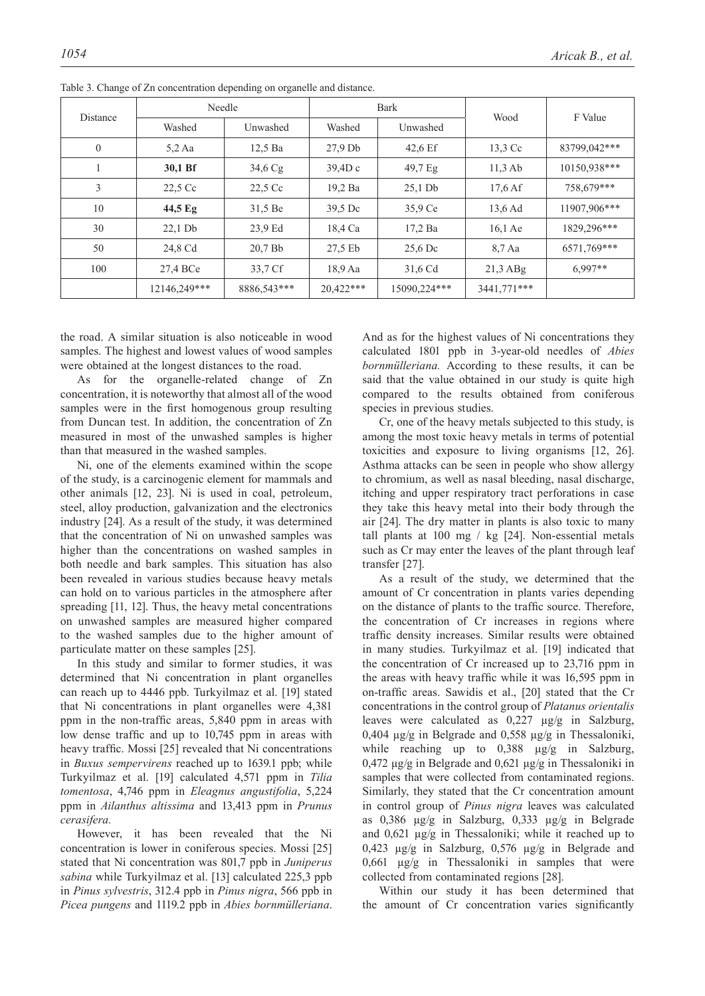| <b>Distance</b> | Needle       |             | <b>Bark</b> |                   | Wood                | F Value      |
|-----------------|--------------|-------------|-------------|-------------------|---------------------|--------------|
|                 | Washed       | Unwashed    | Washed      | Unwashed          |                     |              |
| $\theta$        | $5.2$ Aa     | $12.5$ Ba   | $27.9$ Db   | 42.6 Ef           | 13.3 Cc             | 83799,042*** |
|                 | 30,1 Bf      | 34,6Cg      | 39,4Dc      | 49.7 <sub>g</sub> | $11.3$ Ab           | 10150,938*** |
| 3               | 22.5 Cc      | 22.5 Cc     | 19,2 Ba     | $25.1$ Db         | $17.6\,\mathrm{Af}$ | 758.679***   |
| 10              | 44,5 Eg      | 31.5 Be     | 39.5 Dc     | 35,9 Ce           | 13.6 Ad             | 11907,906*** |
| 30              | $22.1$ Db    | 23.9 Ed     | 18,4 Ca     | 17,2 Ba           | $16.1$ Ae           | 1829,296***  |
| 50              | 24,8 Cd      | 20.7Bb      | 27.5 Eb     | $25.6$ Dc         | $8.7$ Aa            | 6571,769***  |
| 100             | 27,4 BCe     | 33,7 Cf     | 18.9 Aa     | 31,6 Cd           | $21,3$ ABg          | $6.997**$    |
|                 | 12146,249*** | 8886,543*** | 20.422***   | 15090,224***      | 3441.771***         |              |

Table 3. Change of Zn concentration depending on organelle and distance.

the road. A similar situation is also noticeable in wood samples. The highest and lowest values of wood samples were obtained at the longest distances to the road.

As for the organelle-related change of Zn concentration, it is noteworthy that almost all of the wood samples were in the first homogenous group resulting from Duncan test. In addition, the concentration of Zn measured in most of the unwashed samples is higher than that measured in the washed samples.

Ni, one of the elements examined within the scope of the study, is a carcinogenic element for mammals and other animals [12, 23]. Ni is used in coal, petroleum, steel, alloy production, galvanization and the electronics industry [24]. As a result of the study, it was determined that the concentration of Ni on unwashed samples was higher than the concentrations on washed samples in both needle and bark samples. This situation has also been revealed in various studies because heavy metals can hold on to various particles in the atmosphere after spreading [11, 12]. Thus, the heavy metal concentrations on unwashed samples are measured higher compared to the washed samples due to the higher amount of particulate matter on these samples [25].

In this study and similar to former studies, it was determined that Ni concentration in plant organelles can reach up to 4446 ppb. Turkyilmaz et al. [19] stated that Ni concentrations in plant organelles were 4,381 ppm in the non-traffic areas, 5,840 ppm in areas with low dense traffic and up to 10,745 ppm in areas with heavy traffic. Mossi [25] revealed that Ni concentrations in *Buxus sempervirens* reached up to 1639.1 ppb; while Turkyilmaz et al. [19] calculated 4,571 ppm in *Tilia tomentosa*, 4,746 ppm in *Eleagnus angustifolia*, 5,224 ppm in *Ailanthus altissima* and 13,413 ppm in *Prunus cerasifera.* 

However, it has been revealed that the Ni concentration is lower in coniferous species. Mossi [25] stated that Ni concentration was 801,7 ppb in *Juniperus sabina* while Turkyilmaz et al. [13] calculated 225,3 ppb in *Pinus sylvestris*, 312.4 ppb in *Pinus nigra*, 566 ppb in *Picea pungens* and 1119.2 ppb in *Abies bornmülleriana*.

And as for the highest values of Ni concentrations they calculated 1801 ppb in 3-year-old needles of *Abies bornmülleriana.* According to these results, it can be said that the value obtained in our study is quite high compared to the results obtained from coniferous species in previous studies.

Cr, one of the heavy metals subjected to this study, is among the most toxic heavy metals in terms of potential toxicities and exposure to living organisms [12, 26]. Asthma attacks can be seen in people who show allergy to chromium, as well as nasal bleeding, nasal discharge, itching and upper respiratory tract perforations in case they take this heavy metal into their body through the air [24]. The dry matter in plants is also toxic to many tall plants at 100 mg / kg [24]. Non-essential metals such as Cr may enter the leaves of the plant through leaf transfer [27].

As a result of the study, we determined that the amount of Cr concentration in plants varies depending on the distance of plants to the traffic source. Therefore, the concentration of Cr increases in regions where traffic density increases. Similar results were obtained in many studies. Turkyilmaz et al. [19] indicated that the concentration of Cr increased up to 23,716 ppm in the areas with heavy traffic while it was 16,595 ppm in on-traffic areas. Sawidis et al., [20] stated that the Cr concentrations in the control group of *Platanus orientalis*  leaves were calculated as 0,227 µg/g in Salzburg, 0,404 µg/g in Belgrade and 0,558 µg/g in Thessaloniki, while reaching up to 0,388  $\mu$ g/g in Salzburg, 0,472 µg/g in Belgrade and 0,621 µg/g in Thessaloniki in samples that were collected from contaminated regions. Similarly, they stated that the Cr concentration amount in control group of *Pinus nigra* leaves was calculated as 0,386 µg/g in Salzburg, 0,333 µg/g in Belgrade and 0,621 µg/g in Thessaloniki; while it reached up to 0,423 µg/g in Salzburg, 0,576 µg/g in Belgrade and 0,661 µg/g in Thessaloniki in samples that were collected from contaminated regions [28].

Within our study it has been determined that the amount of Cr concentration varies significantly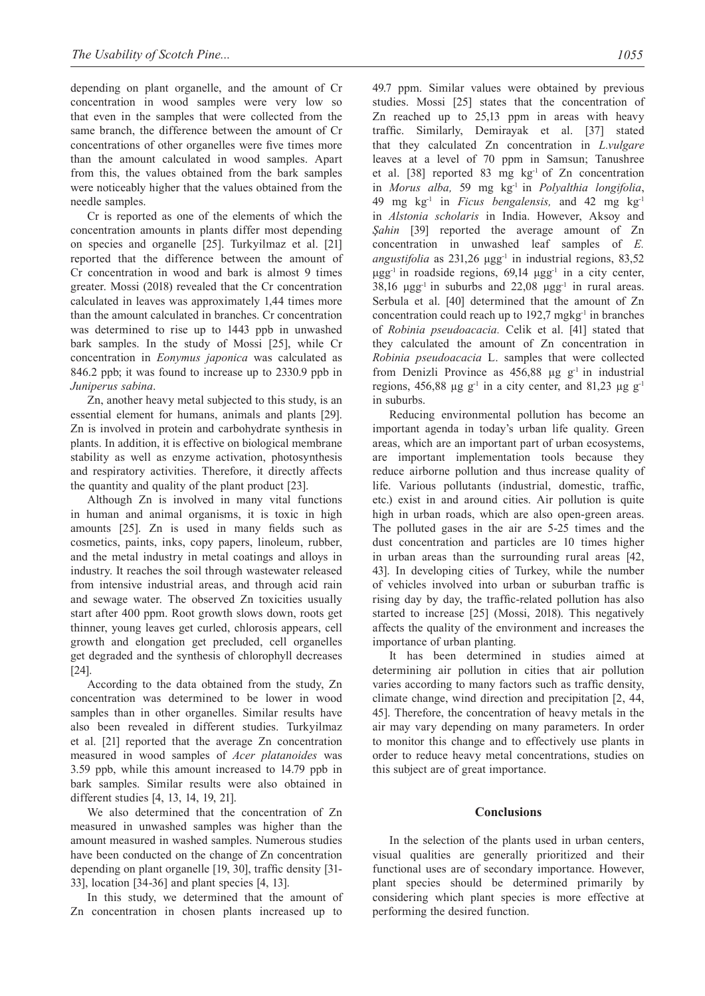depending on plant organelle, and the amount of Cr concentration in wood samples were very low so that even in the samples that were collected from the same branch, the difference between the amount of Cr concentrations of other organelles were five times more than the amount calculated in wood samples. Apart from this, the values obtained from the bark samples were noticeably higher that the values obtained from the needle samples.

Cr is reported as one of the elements of which the concentration amounts in plants differ most depending on species and organelle [25]. Turkyilmaz et al. [21] reported that the difference between the amount of Cr concentration in wood and bark is almost 9 times greater. Mossi (2018) revealed that the Cr concentration calculated in leaves was approximately 1,44 times more than the amount calculated in branches. Cr concentration was determined to rise up to 1443 ppb in unwashed bark samples. In the study of Mossi [25], while Cr concentration in *Eonymus japonica* was calculated as 846.2 ppb; it was found to increase up to 2330.9 ppb in *Juniperus sabina*.

Zn, another heavy metal subjected to this study, is an essential element for humans, animals and plants [29]. Zn is involved in protein and carbohydrate synthesis in plants. In addition, it is effective on biological membrane stability as well as enzyme activation, photosynthesis and respiratory activities. Therefore, it directly affects the quantity and quality of the plant product [23].

Although Zn is involved in many vital functions in human and animal organisms, it is toxic in high amounts [25]. Zn is used in many fields such as cosmetics, paints, inks, copy papers, linoleum, rubber, and the metal industry in metal coatings and alloys in industry. It reaches the soil through wastewater released from intensive industrial areas, and through acid rain and sewage water. The observed Zn toxicities usually start after 400 ppm. Root growth slows down, roots get thinner, young leaves get curled, chlorosis appears, cell growth and elongation get precluded, cell organelles get degraded and the synthesis of chlorophyll decreases [24].

According to the data obtained from the study, Zn concentration was determined to be lower in wood samples than in other organelles. Similar results have also been revealed in different studies. Turkyilmaz et al. [21] reported that the average Zn concentration measured in wood samples of *Acer platanoides* was 3.59 ppb, while this amount increased to 14.79 ppb in bark samples. Similar results were also obtained in different studies [4, 13, 14, 19, 21].

We also determined that the concentration of Zn measured in unwashed samples was higher than the amount measured in washed samples. Numerous studies have been conducted on the change of Zn concentration depending on plant organelle [19, 30], traffic density [31- 33], location [34-36] and plant species [4, 13].

In this study, we determined that the amount of Zn concentration in chosen plants increased up to

49.7 ppm. Similar values were obtained by previous studies. Mossi [25] states that the concentration of Zn reached up to 25,13 ppm in areas with heavy traffic. Similarly, Demirayak et al. [37] stated that they calculated Zn concentration in *L.vulgare*  leaves at a level of 70 ppm in Samsun; Tanushree et al. [38] reported 83 mg kg-1 of Zn concentration in *Morus alba,* 59 mg kg-1 in *Polyalthia longifolia*, 49 mg kg-1 in *Ficus bengalensis,* and 42 mg kg-1 in *Alstonia scholaris* in India. However, Aksoy and *Şahin* [39] reported the average amount of Zn concentration in unwashed leaf samples of *E. angustifolia* as 231,26 μgg-1 in industrial regions, 83,52 μgg<sup>-1</sup> in roadside regions,  $69,14$  μgg<sup>-1</sup> in a city center, 38,16  $\mu$ gg<sup>-1</sup> in suburbs and 22,08  $\mu$ gg<sup>-1</sup> in rural areas. Serbula et al. [40] determined that the amount of Zn concentration could reach up to  $192.7 \text{ mgkg}^{-1}$  in branches of *Robinia pseudoacacia.* Celik et al. [41] stated that they calculated the amount of Zn concentration in *Robinia pseudoacacia* L. samples that were collected from Denizli Province as  $456,88 \mu g g^{-1}$  in industrial regions, 456,88  $\mu$ g g<sup>-1</sup> in a city center, and 81,23  $\mu$ g g<sup>-1</sup> in suburbs.

Reducing environmental pollution has become an important agenda in today's urban life quality. Green areas, which are an important part of urban ecosystems, are important implementation tools because they reduce airborne pollution and thus increase quality of life. Various pollutants (industrial, domestic, traffic, etc.) exist in and around cities. Air pollution is quite high in urban roads, which are also open-green areas. The polluted gases in the air are 5-25 times and the dust concentration and particles are 10 times higher in urban areas than the surrounding rural areas [42, 43]. In developing cities of Turkey, while the number of vehicles involved into urban or suburban traffic is rising day by day, the traffic-related pollution has also started to increase [25] (Mossi, 2018). This negatively affects the quality of the environment and increases the importance of urban planting.

It has been determined in studies aimed at determining air pollution in cities that air pollution varies according to many factors such as traffic density, climate change, wind direction and precipitation [2, 44, 45]. Therefore, the concentration of heavy metals in the air may vary depending on many parameters. In order to monitor this change and to effectively use plants in order to reduce heavy metal concentrations, studies on this subject are of great importance.

### **Conclusions**

In the selection of the plants used in urban centers, visual qualities are generally prioritized and their functional uses are of secondary importance. However, plant species should be determined primarily by considering which plant species is more effective at performing the desired function.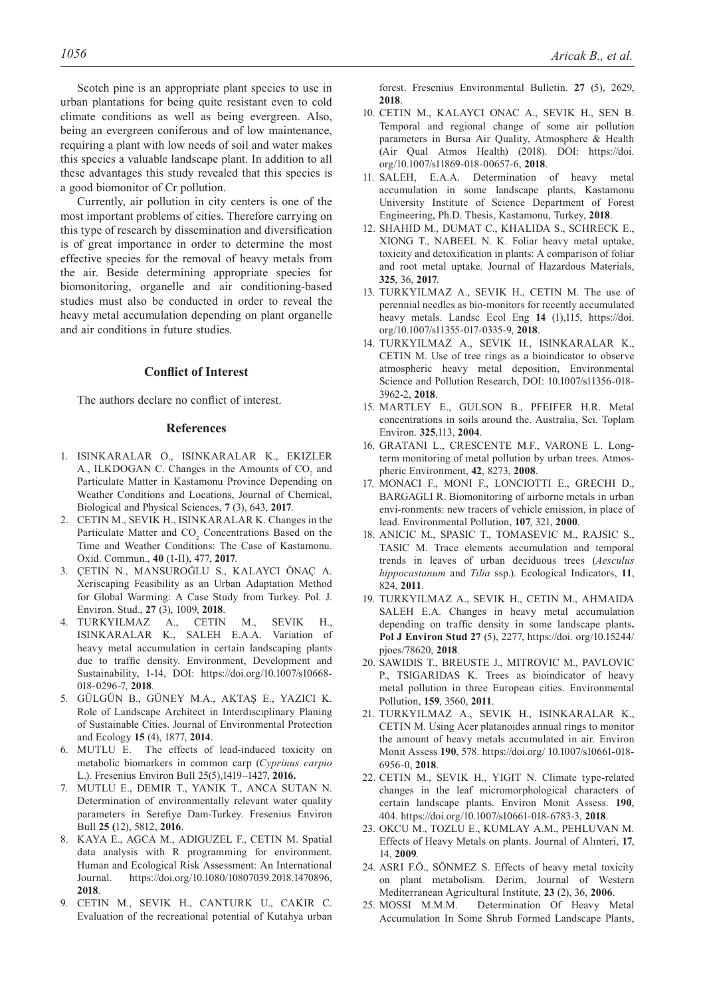Scotch pine is an appropriate plant species to use in urban plantations for being quite resistant even to cold climate conditions as well as being evergreen. Also, being an evergreen coniferous and of low maintenance, requiring a plant with low needs of soil and water makes this species a valuable landscape plant. In addition to all these advantages this study revealed that this species is a good biomonitor of Cr pollution.

Currently, air pollution in city centers is one of the most important problems of cities. Therefore carrying on this type of research by dissemination and diversification is of great importance in order to determine the most effective species for the removal of heavy metals from the air. Beside determining appropriate species for biomonitoring, organelle and air conditioning-based studies must also be conducted in order to reveal the heavy metal accumulation depending on plant organelle and air conditions in future studies.

# **Conflict of Interest**

The authors declare no conflict of interest.

#### **References**

- 1. ISINKARALAR O., ISINKARALAR K., EKIZLER A., ILKDOGAN C. Changes in the Amounts of  $CO<sub>2</sub>$  and Particulate Matter in Kastamonu Province Depending on Weather Conditions and Locations, Journal of Chemical, Biological and Physical Sciences, **7** (3), 643, **2017**.
- 2. CETIN M., SEVIK H., ISINKARALAR K. Changes in the Particulate Matter and  $CO<sub>2</sub>$  Concentrations Based on the Time and Weather Conditions: The Case of Kastamonu. Oxid. Commun., **40** (1-II), 477, **2017**.
- 3. ÇETIN N., MANSUROĞLU S., KALAYCI ÖNAÇ A. Xeriscaping Feasibility as an Urban Adaptation Method for Global Warming: A Case Study from Turkey. Pol. J. Environ. Stud., **27** (3), 1009, **2018**.
- 4. TURKYILMAZ A., CETIN M., SEVIK H., ISINKARALAR K., SALEH E.A.A. Variation of heavy metal accumulation in certain landscaping plants due to traffic density. Environment, Development and Sustainability, 1-14, DOI: https://doi.org/10.1007/s10668- 018-0296-7, **2018**.
- 5. GÜLGÜN B., GÜNEY M.A., AKTAŞ E., YAZICI K. Role of Landscape Architect in Interdıscıplinary Planing of Sustainable Cities. Journal of Environmental Protection and Ecology **15** (4), 1877, **2014**.
- 6. MUTLU E. The effects of lead-induced toxicity on metabolic biomarkers in common carp (*Cyprinus carpio* L.). Fresenius Environ Bull 25(5),1419–1427, **2016.**
- 7. MUTLU E., DEMIR T., YANIK T., ANCA SUTAN N. Determination of environmentally relevant water quality parameters in Serefiye Dam-Turkey. Fresenius Environ Bull **25 (**12), 5812, **2016**.
- 8. KAYA E., AGCA M., ADIGUZEL F., CETIN M. Spatial data analysis with R programming for environment. Human and Ecological Risk Assessment: An International Journal. https://doi.org/10.1080/10807039.2018.1470896, **2018**.
- 9. CETIN M., SEVIK H., CANTURK U., CAKIR C. Evaluation of the recreational potential of Kutahya urban

forest. Fresenius Environmental Bulletin. **27** (5), 2629, **2018**.

- 10. CETIN M., KALAYCI ONAC A., SEVIK H., SEN B. Temporal and regional change of some air pollution parameters in Bursa Air Quality, Atmosphere & Health (Air Qual Atmos Health) (2018). DOI: https://doi. org/10.1007/s11869-018-00657-6, **2018**.
- 11. SALEH, E.A.A. Determination of heavy metal accumulation in some landscape plants, Kastamonu University Institute of Science Department of Forest Engineering, Ph.D. Thesis, Kastamonu, Turkey, **2018**.
- 12. SHAHID M., DUMAT C., KHALIDA S., SCHRECK E., XIONG T., NABEEL N. K. Foliar heavy metal uptake, toxicity and detoxification in plants: A comparison of foliar and root metal uptake. Journal of Hazardous Materials, **325**, 36, **2017**.
- 13. TURKYILMAZ A., SEVIK H., CETIN M. The use of perennial needles as bio-monitors for recently accumulated heavy metals. Landsc Ecol Eng **14** (1),115, https://doi. org/10.1007/s11355-017-0335-9, **2018**.
- 14. TURKYILMAZ A., SEVIK H., ISINKARALAR K., CETIN M. Use of tree rings as a bioindicator to observe atmospheric heavy metal deposition, Environmental Science and Pollution Research, DOI: 10.1007/s11356-018- 3962-2, **2018**.
- 15. MARTLEY E., GULSON B., PFEIFER H.R. Metal concentrations in soils around the. Australia, Sci. Toplam Environ. **325**,113, **2004**.
- 16. GRATANI L., CRESCENTE M.F., VARONE L. Longterm monitoring of metal pollution by urban trees. Atmospheric Environment, **42**, 8273, **2008**.
- 17. MONACI F., MONI F., LONCIOTTI E., GRECHI D., BARGAGLI R. Biomonitoring of airborne metals in urban envi-ronments: new tracers of vehicle emission, in place of lead. Environmental Pollution, **107**, 321, **2000**.
- 18. ANICIC M., SPASIC T., TOMASEVIC M., RAJSIC S., TASIC M. Trace elements accumulation and temporal trends in leaves of urban deciduous trees (*Aesculus hippocastanum* and *Tilia* ssp.). Ecological Indicators, **11**, 824, **2011**.
- 19. TURKYILMAZ A., SEVIK H., CETIN M., AHMAIDA SALEH E.A. Changes in heavy metal accumulation depending on traffic density in some landscape plants**. Pol J Environ Stud 27** (5), 2277, https://doi. org/10.15244/ pjoes/78620, **2018**.
- 20. SAWIDIS T., BREUSTE J., MITROVIC M., PAVLOVIC P., TSIGARIDAS K. Trees as bioindicator of heavy metal pollution in three European cities. Environmental Pollution, **159**, 3560, **2011**.
- 21. TURKYILMAZ A., SEVIK H., ISINKARALAR K., CETIN M. Using Acer platanoides annual rings to monitor the amount of heavy metals accumulated in air. Environ Monit Assess **190**, 578. https://doi.org/ 10.1007/s10661-018- 6956-0, **2018**.
- 22. CETIN M., SEVIK H., YIGIT N. Climate type-related changes in the leaf micromorphological characters of certain landscape plants. Environ Monit Assess. **190**, 404. https://doi.org/10.1007/s10661-018-6783-3, **2018**.
- 23. OKCU M., TOZLU E., KUMLAY A.M., PEHLUVAN M. Effects of Heavy Metals on plants. Journal of Alınteri, **17**, 14, **2009**.
- 24. ASRI F.Ö., SÖNMEZ S. Effects of heavy metal toxicity on plant metabolism. Derim, Journal of Western Mediterranean Agricultural Institute, **23** (2), 36, **2006**.
- 25. MOSSI M.M.M.Determination Of Heavy Metal Accumulation In Some Shrub Formed Landscape Plants,